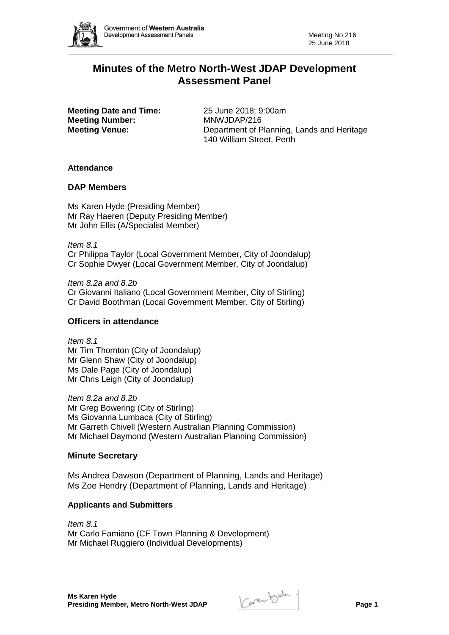

# **Minutes of the Metro North-West JDAP Development Assessment Panel**

**Meeting Date and Time:** 25 June 2018; 9:00am **Meeting Number:** MNWJDAP/216

**Meeting Venue:** Department of Planning, Lands and Heritage 140 William Street, Perth

# **Attendance**

# **DAP Members**

Ms Karen Hyde (Presiding Member) Mr Ray Haeren (Deputy Presiding Member) Mr John Ellis (A/Specialist Member)

*Item 8.1* Cr Philippa Taylor (Local Government Member, City of Joondalup) Cr Sophie Dwyer (Local Government Member, City of Joondalup)

*Item 8.2a and 8.2b* Cr Giovanni Italiano (Local Government Member, City of Stirling) Cr David Boothman (Local Government Member, City of Stirling)

## **Officers in attendance**

*Item 8.1* Mr Tim Thornton (City of Joondalup) Mr Glenn Shaw (City of Joondalup) Ms Dale Page (City of Joondalup) Mr Chris Leigh (City of Joondalup)

*Item 8.2a and 8.2b* Mr Greg Bowering (City of Stirling) Ms Giovanna Lumbaca (City of Stirling) Mr Garreth Chivell (Western Australian Planning Commission) Mr Michael Daymond (Western Australian Planning Commission)

## **Minute Secretary**

Ms Andrea Dawson (Department of Planning, Lands and Heritage) Ms Zoe Hendry (Department of Planning, Lands and Heritage)

## **Applicants and Submitters**

*Item 8.1* Mr Carlo Famiano (CF Town Planning & Development) Mr Michael Ruggiero (Individual Developments)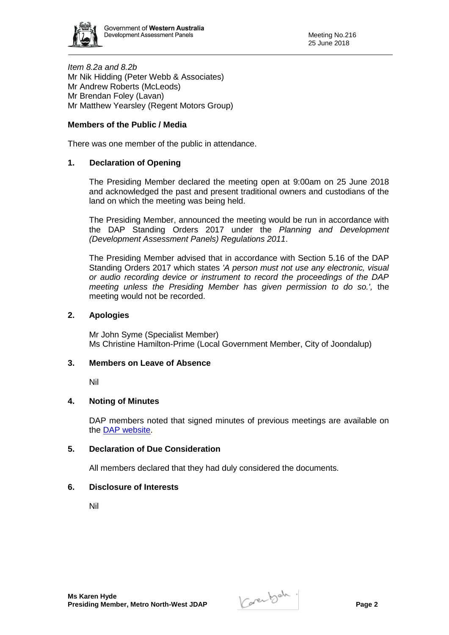

*Item 8.2a and 8.2b* Mr Nik Hidding (Peter Webb & Associates) Mr Andrew Roberts (McLeods) Mr Brendan Foley (Lavan) Mr Matthew Yearsley (Regent Motors Group)

# **Members of the Public / Media**

There was one member of the public in attendance.

## **1. Declaration of Opening**

The Presiding Member declared the meeting open at 9:00am on 25 June 2018 and acknowledged the past and present traditional owners and custodians of the land on which the meeting was being held.

The Presiding Member, announced the meeting would be run in accordance with the DAP Standing Orders 2017 under the *Planning and Development (Development Assessment Panels) Regulations 2011*.

The Presiding Member advised that in accordance with Section 5.16 of the DAP Standing Orders 2017 which states *'A person must not use any electronic, visual or audio recording device or instrument to record the proceedings of the DAP meeting unless the Presiding Member has given permission to do so.',* the meeting would not be recorded.

### **2. Apologies**

Mr John Syme (Specialist Member) Ms Christine Hamilton-Prime (Local Government Member, City of Joondalup)

#### **3. Members on Leave of Absence**

Nil

## **4. Noting of Minutes**

DAP members noted that signed minutes of previous meetings are available on the [DAP website.](https://www.planning.wa.gov.au/7578.aspx)

#### **5. Declaration of Due Consideration**

All members declared that they had duly considered the documents.

#### **6. Disclosure of Interests**

Nil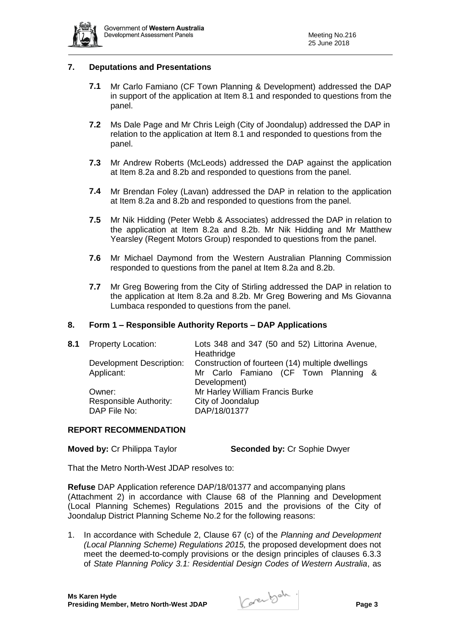

## **7. Deputations and Presentations**

- **7.1** Mr Carlo Famiano (CF Town Planning & Development) addressed the DAP in support of the application at Item 8.1 and responded to questions from the panel.
- **7.2** Ms Dale Page and Mr Chris Leigh (City of Joondalup) addressed the DAP in relation to the application at Item 8.1 and responded to questions from the panel.
- **7.3** Mr Andrew Roberts (McLeods) addressed the DAP against the application at Item 8.2a and 8.2b and responded to questions from the panel.
- **7.4** Mr Brendan Foley (Lavan) addressed the DAP in relation to the application at Item 8.2a and 8.2b and responded to questions from the panel.
- **7.5** Mr Nik Hidding (Peter Webb & Associates) addressed the DAP in relation to the application at Item 8.2a and 8.2b. Mr Nik Hidding and Mr Matthew Yearsley (Regent Motors Group) responded to questions from the panel.
- **7.6** Mr Michael Daymond from the Western Australian Planning Commission responded to questions from the panel at Item 8.2a and 8.2b.
- **7.7** Mr Greg Bowering from the City of Stirling addressed the DAP in relation to the application at Item 8.2a and 8.2b. Mr Greg Bowering and Ms Giovanna Lumbaca responded to questions from the panel.

#### **8. Form 1 – Responsible Authority Reports – DAP Applications**

| 8.1 | <b>Property Location:</b>                        | Lots 348 and 347 (50 and 52) Littorina Avenue,<br>Heathridge                             |  |  |  |
|-----|--------------------------------------------------|------------------------------------------------------------------------------------------|--|--|--|
|     | Development Description:<br>Applicant:           | Construction of fourteen (14) multiple dwellings<br>Mr Carlo Famiano (CF Town Planning & |  |  |  |
|     | Owner:<br>Responsible Authority:<br>DAP File No: | Development)<br>Mr Harley William Francis Burke<br>City of Joondalup<br>DAP/18/01377     |  |  |  |

#### **REPORT RECOMMENDATION**

**Moved by: Cr Philippa Taylor <b>Seconded by: Cr Sophie Dwyer** 

That the Metro North-West JDAP resolves to:

**Refuse** DAP Application reference DAP/18/01377 and accompanying plans (Attachment 2) in accordance with Clause 68 of the Planning and Development (Local Planning Schemes) Regulations 2015 and the provisions of the City of Joondalup District Planning Scheme No.2 for the following reasons:

1. In accordance with Schedule 2, Clause 67 (c) of the *Planning and Development (Local Planning Scheme) Regulations 2015,* the proposed development does not meet the deemed-to-comply provisions or the design principles of clauses 6.3.3 of *State Planning Policy 3.1: Residential Design Codes of Western Australia*, as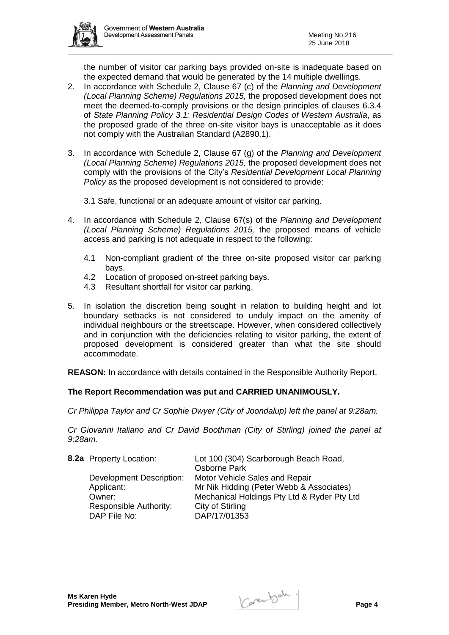

the number of visitor car parking bays provided on-site is inadequate based on the expected demand that would be generated by the 14 multiple dwellings.

- 2. In accordance with Schedule 2, Clause 67 (c) of the *Planning and Development (Local Planning Scheme) Regulations 2015,* the proposed development does not meet the deemed-to-comply provisions or the design principles of clauses 6.3.4 of *State Planning Policy 3.1: Residential Design Codes of Western Australia*, as the proposed grade of the three on-site visitor bays is unacceptable as it does not comply with the Australian Standard (A2890.1).
- 3. In accordance with Schedule 2, Clause 67 (g) of the *Planning and Development (Local Planning Scheme) Regulations 2015,* the proposed development does not comply with the provisions of the City's *Residential Development Local Planning Policy* as the proposed development is not considered to provide:

3.1 Safe, functional or an adequate amount of visitor car parking.

- 4. In accordance with Schedule 2, Clause 67(s) of the *Planning and Development (Local Planning Scheme) Regulations 2015,* the proposed means of vehicle access and parking is not adequate in respect to the following:
	- 4.1 Non-compliant gradient of the three on-site proposed visitor car parking bays.
	- 4.2 Location of proposed on-street parking bays.
	- 4.3 Resultant shortfall for visitor car parking.
- 5. In isolation the discretion being sought in relation to building height and lot boundary setbacks is not considered to unduly impact on the amenity of individual neighbours or the streetscape. However, when considered collectively and in conjunction with the deficiencies relating to visitor parking, the extent of proposed development is considered greater than what the site should accommodate.

**REASON:** In accordance with details contained in the Responsible Authority Report.

## **The Report Recommendation was put and CARRIED UNANIMOUSLY.**

*Cr Philippa Taylor and Cr Sophie Dwyer (City of Joondalup) left the panel at 9:28am.*

*Cr Giovanni Italiano and Cr David Boothman (City of Stirling) joined the panel at 9:28am.*

| 8.2a Property Location:         | Lot 100 (304) Scarborough Beach Road,<br>Osborne Park |
|---------------------------------|-------------------------------------------------------|
| <b>Development Description:</b> | Motor Vehicle Sales and Repair                        |
| Applicant:                      | Mr Nik Hidding (Peter Webb & Associates)              |
| Owner:                          | Mechanical Holdings Pty Ltd & Ryder Pty Ltd           |
| Responsible Authority:          | City of Stirling                                      |
| DAP File No:                    | DAP/17/01353                                          |
|                                 |                                                       |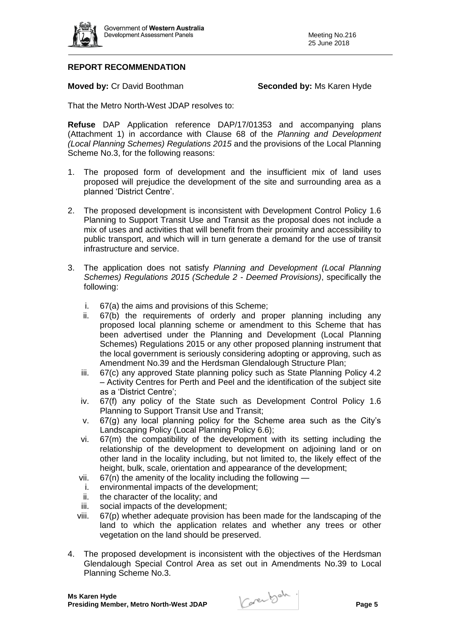

# **REPORT RECOMMENDATION**

**Moved by: Cr David Boothman <b>Seconded by:** Ms Karen Hyde

That the Metro North-West JDAP resolves to:

**Refuse** DAP Application reference DAP/17/01353 and accompanying plans (Attachment 1) in accordance with Clause 68 of the *Planning and Development (Local Planning Schemes) Regulations 2015* and the provisions of the Local Planning Scheme No.3, for the following reasons:

- 1. The proposed form of development and the insufficient mix of land uses proposed will prejudice the development of the site and surrounding area as a planned 'District Centre'.
- 2. The proposed development is inconsistent with Development Control Policy 1.6 Planning to Support Transit Use and Transit as the proposal does not include a mix of uses and activities that will benefit from their proximity and accessibility to public transport, and which will in turn generate a demand for the use of transit infrastructure and service.
- 3. The application does not satisfy *Planning and Development (Local Planning Schemes) Regulations 2015 (Schedule 2 - Deemed Provisions)*, specifically the following:
	- i. 67(a) the aims and provisions of this Scheme;
	- ii. 67(b) the requirements of orderly and proper planning including any proposed local planning scheme or amendment to this Scheme that has been advertised under the Planning and Development (Local Planning Schemes) Regulations 2015 or any other proposed planning instrument that the local government is seriously considering adopting or approving, such as Amendment No.39 and the Herdsman Glendalough Structure Plan;
	- iii. 67(c) any approved State planning policy such as State Planning Policy 4.2 – Activity Centres for Perth and Peel and the identification of the subject site as a 'District Centre';
	- iv. 67(f) any policy of the State such as Development Control Policy 1.6 Planning to Support Transit Use and Transit;
	- v. 67(g) any local planning policy for the Scheme area such as the City's Landscaping Policy (Local Planning Policy 6.6);
	- vi. 67(m) the compatibility of the development with its setting including the relationship of the development to development on adjoining land or on other land in the locality including, but not limited to, the likely effect of the height, bulk, scale, orientation and appearance of the development;
	- vii.  $67(n)$  the amenity of the locality including the following —
	- i. environmental impacts of the development;
	- ii. the character of the locality; and
	- iii. social impacts of the development;
	- viii. 67(p) whether adequate provision has been made for the landscaping of the land to which the application relates and whether any trees or other vegetation on the land should be preserved.
- 4. The proposed development is inconsistent with the objectives of the Herdsman Glendalough Special Control Area as set out in Amendments No.39 to Local Planning Scheme No.3.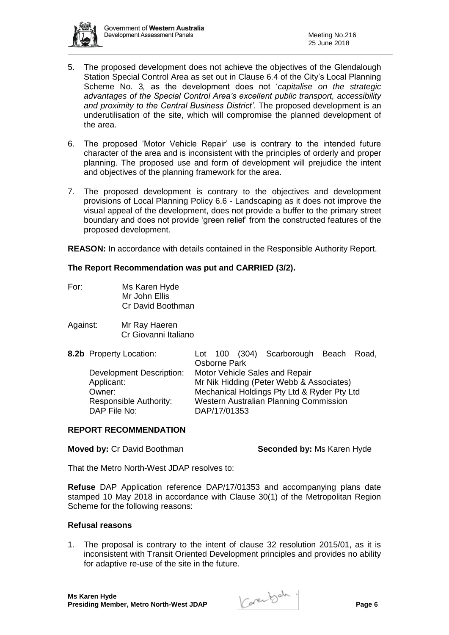

- 5. The proposed development does not achieve the objectives of the Glendalough Station Special Control Area as set out in Clause 6.4 of the City's Local Planning Scheme No. 3*,* as the development does not '*capitalise on the strategic advantages of the Special Control Area's excellent public transport, accessibility and proximity to the Central Business District'*. The proposed development is an underutilisation of the site, which will compromise the planned development of the area.
- 6. The proposed 'Motor Vehicle Repair' use is contrary to the intended future character of the area and is inconsistent with the principles of orderly and proper planning. The proposed use and form of development will prejudice the intent and objectives of the planning framework for the area.
- 7. The proposed development is contrary to the objectives and development provisions of Local Planning Policy 6.6 - Landscaping as it does not improve the visual appeal of the development, does not provide a buffer to the primary street boundary and does not provide 'green relief' from the constructed features of the proposed development.

**REASON:** In accordance with details contained in the Responsible Authority Report.

## **The Report Recommendation was put and CARRIED (3/2).**

- For: Ms Karen Hyde Mr John Ellis Cr David Boothman
- Against: Mr Ray Haeren Cr Giovanni Italiano

| 8.2b Property Location:         |                                        |              | Lot 100 (304) Scarborough Beach Road,       |  |
|---------------------------------|----------------------------------------|--------------|---------------------------------------------|--|
|                                 |                                        | Osborne Park |                                             |  |
| <b>Development Description:</b> |                                        |              | Motor Vehicle Sales and Repair              |  |
| Applicant:                      |                                        |              | Mr Nik Hidding (Peter Webb & Associates)    |  |
| Owner:                          |                                        |              | Mechanical Holdings Pty Ltd & Ryder Pty Ltd |  |
| Responsible Authority:          | Western Australian Planning Commission |              |                                             |  |
| DAP File No:                    |                                        | DAP/17/01353 |                                             |  |

#### **REPORT RECOMMENDATION**

### **Moved by: Cr David Boothman <b>Seconded by:** Ms Karen Hyde

That the Metro North-West JDAP resolves to:

**Refuse** DAP Application reference DAP/17/01353 and accompanying plans date stamped 10 May 2018 in accordance with Clause 30(1) of the Metropolitan Region Scheme for the following reasons:

### **Refusal reasons**

1. The proposal is contrary to the intent of clause 32 resolution 2015/01, as it is inconsistent with Transit Oriented Development principles and provides no ability for adaptive re-use of the site in the future.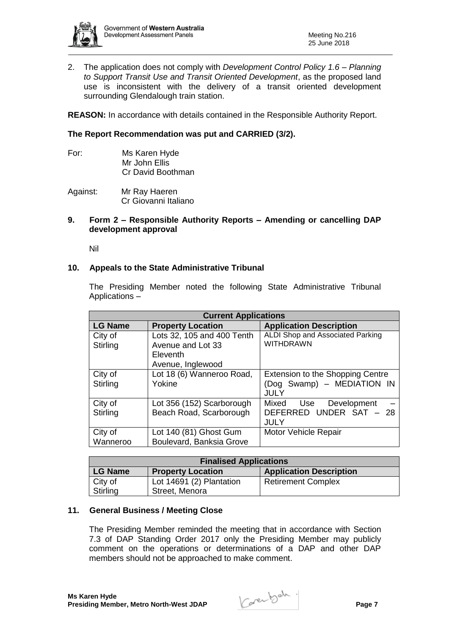

2. The application does not comply with *Development Control Policy 1.6 – Planning to Support Transit Use and Transit Oriented Development*, as the proposed land use is inconsistent with the delivery of a transit oriented development surrounding Glendalough train station.

**REASON:** In accordance with details contained in the Responsible Authority Report.

### **The Report Recommendation was put and CARRIED (3/2).**

For: Ms Karen Hyde Mr John Ellis Cr David Boothman

Against: Mr Ray Haeren Cr Giovanni Italiano

### **9. Form 2 – Responsible Authority Reports – Amending or cancelling DAP development approval**

Nil

### **10. Appeals to the State Administrative Tribunal**

The Presiding Member noted the following State Administrative Tribunal Applications –

| <b>Current Applications</b> |                                                                                  |                                                                                      |  |  |  |
|-----------------------------|----------------------------------------------------------------------------------|--------------------------------------------------------------------------------------|--|--|--|
| <b>LG Name</b>              | <b>Property Location</b>                                                         | <b>Application Description</b>                                                       |  |  |  |
| City of<br>Stirling         | Lots 32, 105 and 400 Tenth<br>Avenue and Lot 33<br>Eleventh<br>Avenue, Inglewood | ALDI Shop and Associated Parking<br><b>WITHDRAWN</b>                                 |  |  |  |
| City of<br>Stirling         | Lot 18 (6) Wanneroo Road,<br>Yokine                                              | <b>Extension to the Shopping Centre</b><br>(Dog Swamp) - MEDIATION IN<br><b>JULY</b> |  |  |  |
| City of<br>Stirling         | Lot 356 (152) Scarborough<br>Beach Road, Scarborough                             | Mixed Use<br>Development<br>DEFERRED UNDER SAT - 28<br>JULY                          |  |  |  |
| City of<br>Wanneroo         | Lot 140 (81) Ghost Gum<br>Boulevard, Banksia Grove                               | <b>Motor Vehicle Repair</b>                                                          |  |  |  |

| <b>Finalised Applications</b>              |                          |                                |  |  |  |
|--------------------------------------------|--------------------------|--------------------------------|--|--|--|
| <b>LG Name</b><br><b>Property Location</b> |                          | <b>Application Description</b> |  |  |  |
| City of                                    | Lot 14691 (2) Plantation | <b>Retirement Complex</b>      |  |  |  |
| Stirling                                   | Street, Menora           |                                |  |  |  |

#### **11. General Business / Meeting Close**

The Presiding Member reminded the meeting that in accordance with Section 7.3 of DAP Standing Order 2017 only the Presiding Member may publicly comment on the operations or determinations of a DAP and other DAP members should not be approached to make comment.